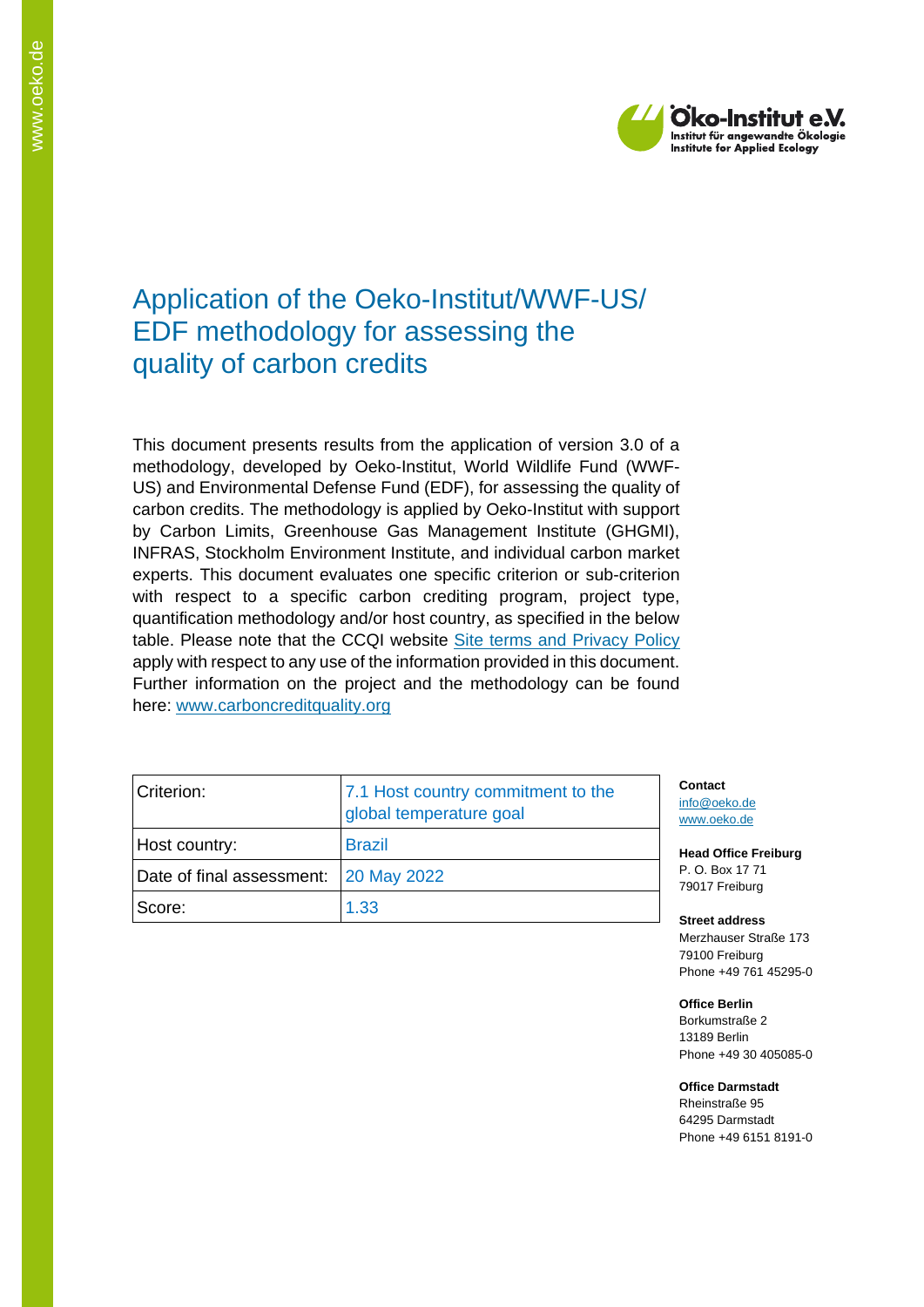

# Application of the Oeko-Institut/WWF-US/ EDF methodology for assessing the quality of carbon credits

This document presents results from the application of version 3.0 of a methodology, developed by Oeko-Institut, World Wildlife Fund (WWF-US) and Environmental Defense Fund (EDF), for assessing the quality of carbon credits. The methodology is applied by Oeko-Institut with support by Carbon Limits, Greenhouse Gas Management Institute (GHGMI), INFRAS, Stockholm Environment Institute, and individual carbon market experts. This document evaluates one specific criterion or sub-criterion with respect to a specific carbon crediting program, project type, quantification methodology and/or host country, as specified in the below table. Please note that the CCQI website [Site terms and Privacy Policy](https://carboncreditquality.org/terms.html) apply with respect to any use of the information provided in this document. Further information on the project and the methodology can be found here: [www.carboncreditquality.org](http://www.carboncreditquality.org/)

| Criterion:<br>Host country:<br>Date of final assessment: 20 May 2022<br>Score: | 7.1 Host country commitment to the<br>global temperature goal | Co<br>inf<br><b>WV</b> |
|--------------------------------------------------------------------------------|---------------------------------------------------------------|------------------------|
|                                                                                | <b>Brazil</b>                                                 | He                     |
|                                                                                |                                                               | Р.<br>79               |
|                                                                                | 1.33                                                          | S۱                     |

**Contact** o@oeko.de ww.oeko.de

**Head Office Freiburg** P. O. Box 17 71 017 Freiburg

**Street address** Merzhauser Straße 173 79100 Freiburg Phone +49 761 45295-0

**Office Berlin** Borkumstraße 2 13189 Berlin Phone +49 30 405085-0

**Office Darmstadt** Rheinstraße 95

64295 Darmstadt Phone +49 6151 8191-0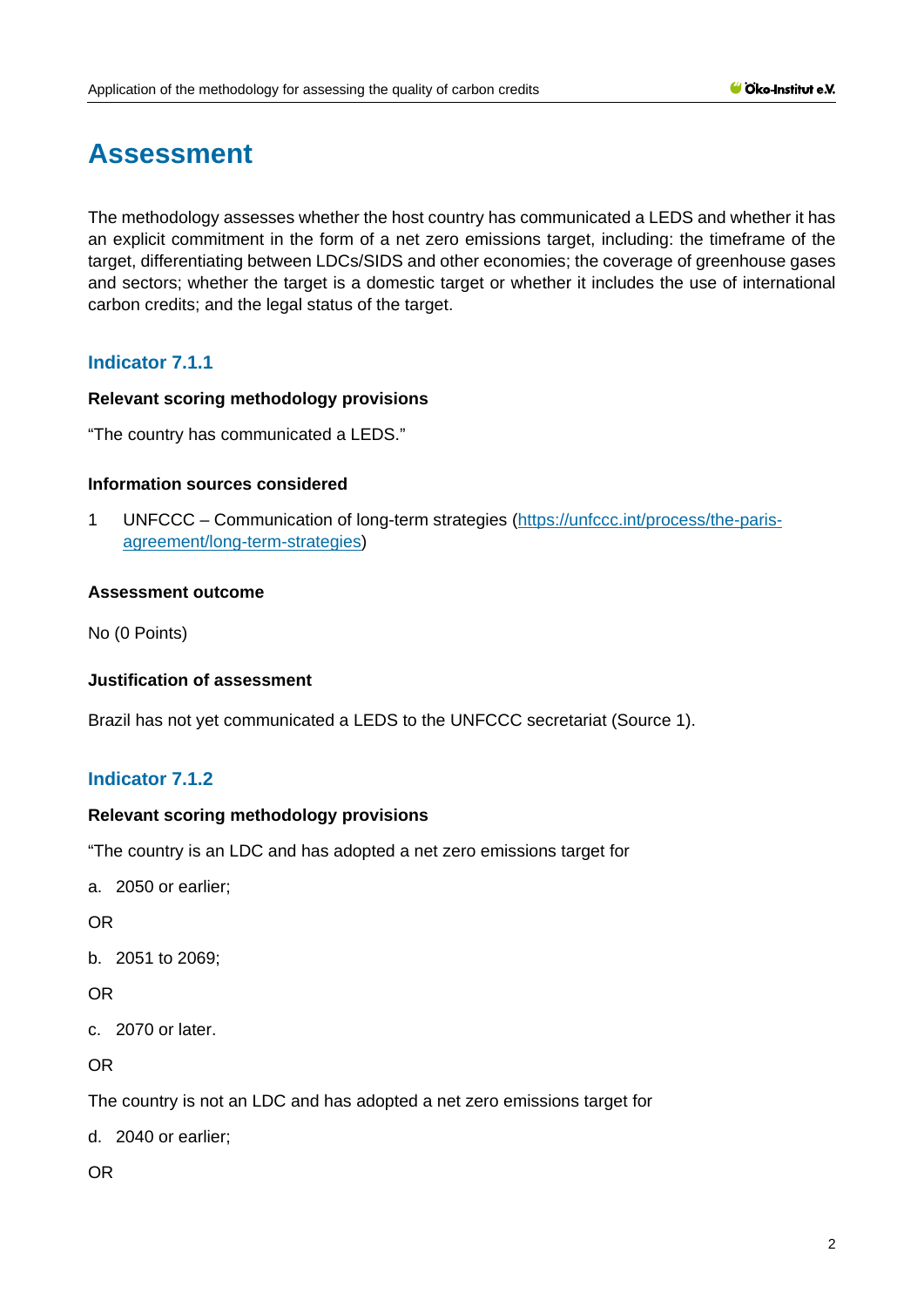# **Assessment**

The methodology assesses whether the host country has communicated a LEDS and whether it has an explicit commitment in the form of a net zero emissions target, including: the timeframe of the target, differentiating between LDCs/SIDS and other economies; the coverage of greenhouse gases and sectors; whether the target is a domestic target or whether it includes the use of international carbon credits; and the legal status of the target.

# **Indicator 7.1.1**

#### **Relevant scoring methodology provisions**

"The country has communicated a LEDS."

#### **Information sources considered**

1 UNFCCC – Communication of long-term strategies [\(https://unfccc.int/process/the-paris](https://unfccc.int/process/the-paris-agreement/long-term-strategies)[agreement/long-term-strategies\)](https://unfccc.int/process/the-paris-agreement/long-term-strategies)

#### **Assessment outcome**

No (0 Points)

#### **Justification of assessment**

Brazil has not yet communicated a LEDS to the UNFCCC secretariat (Source 1).

# **Indicator 7.1.2**

#### **Relevant scoring methodology provisions**

"The country is an LDC and has adopted a net zero emissions target for

a. 2050 or earlier;

OR

b. 2051 to 2069;

## OR

c. 2070 or later.

OR

The country is not an LDC and has adopted a net zero emissions target for

d. 2040 or earlier;

OR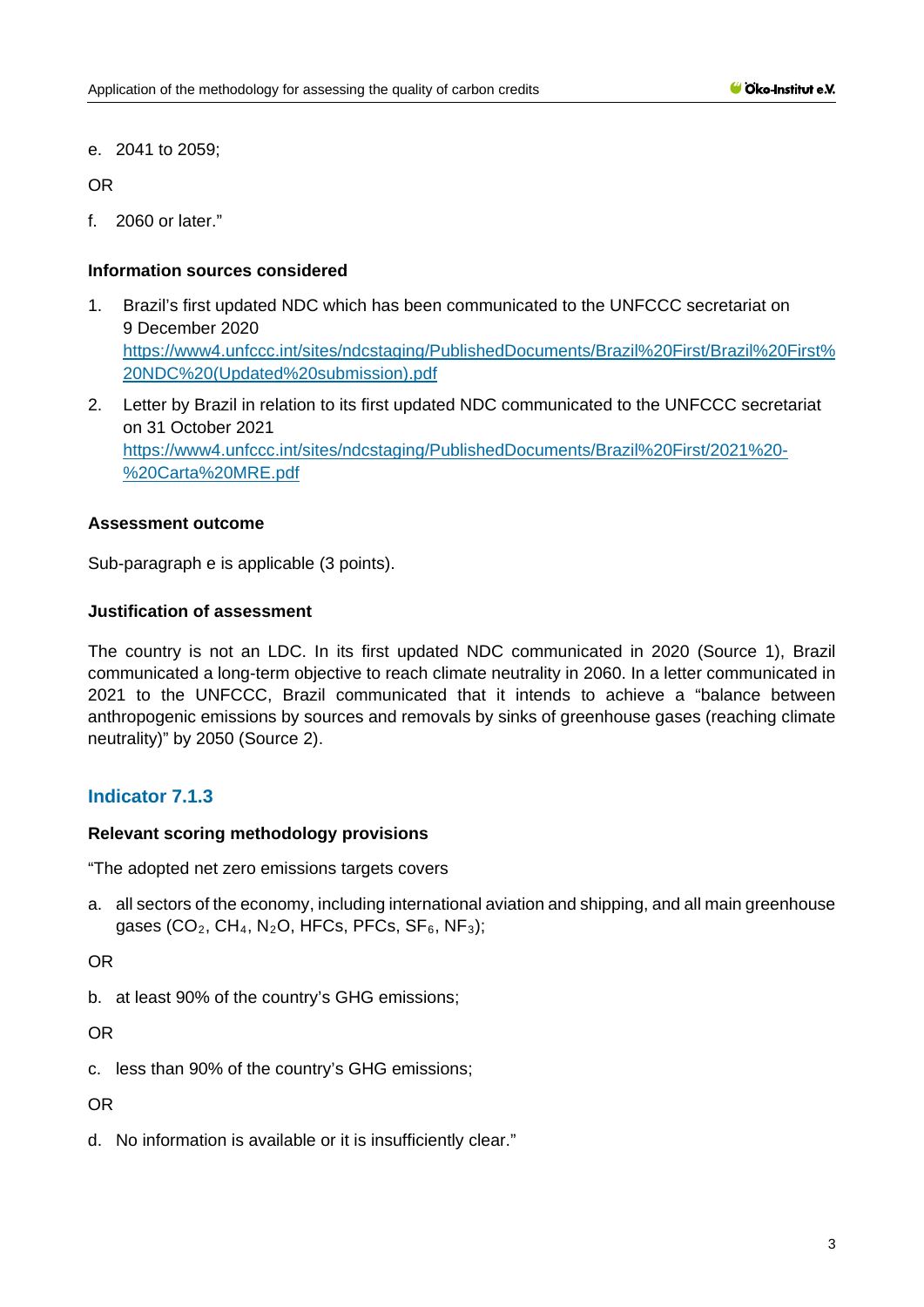e. 2041 to 2059;

OR

f. 2060 or later."

#### **Information sources considered**

- 1. Brazil's first updated NDC which has been communicated to the UNFCCC secretariat on 9 December 2020 [https://www4.unfccc.int/sites/ndcstaging/PublishedDocuments/Brazil%20First/Brazil%20First%](https://www4.unfccc.int/sites/ndcstaging/PublishedDocuments/Brazil%20First/Brazil%20First%20NDC%20(Updated%20submission).pdf) [20NDC%20\(Updated%20submission\).pdf](https://www4.unfccc.int/sites/ndcstaging/PublishedDocuments/Brazil%20First/Brazil%20First%20NDC%20(Updated%20submission).pdf)
- 2. Letter by Brazil in relation to its first updated NDC communicated to the UNFCCC secretariat on 31 October 2021 [https://www4.unfccc.int/sites/ndcstaging/PublishedDocuments/Brazil%20First/2021%20-](https://www4.unfccc.int/sites/ndcstaging/PublishedDocuments/Brazil%20First/2021%20-%20Carta%20MRE.pdf) [%20Carta%20MRE.pdf](https://www4.unfccc.int/sites/ndcstaging/PublishedDocuments/Brazil%20First/2021%20-%20Carta%20MRE.pdf)

#### **Assessment outcome**

Sub-paragraph e is applicable (3 points).

#### **Justification of assessment**

The country is not an LDC. In its first updated NDC communicated in 2020 (Source 1), Brazil communicated a long-term objective to reach climate neutrality in 2060. In a letter communicated in 2021 to the UNFCCC, Brazil communicated that it intends to achieve a "balance between anthropogenic emissions by sources and removals by sinks of greenhouse gases (reaching climate neutrality)" by 2050 (Source 2).

# **Indicator 7.1.3**

#### **Relevant scoring methodology provisions**

"The adopted net zero emissions targets covers

a. all sectors of the economy, including international aviation and shipping, and all main greenhouse gases (CO<sub>2</sub>, CH<sub>4</sub>, N<sub>2</sub>O, HFCs, PFCs, SF<sub>6</sub>, NF<sub>3</sub>);

OR

b. at least 90% of the country's GHG emissions;

OR

c. less than 90% of the country's GHG emissions;

OR

d. No information is available or it is insufficiently clear."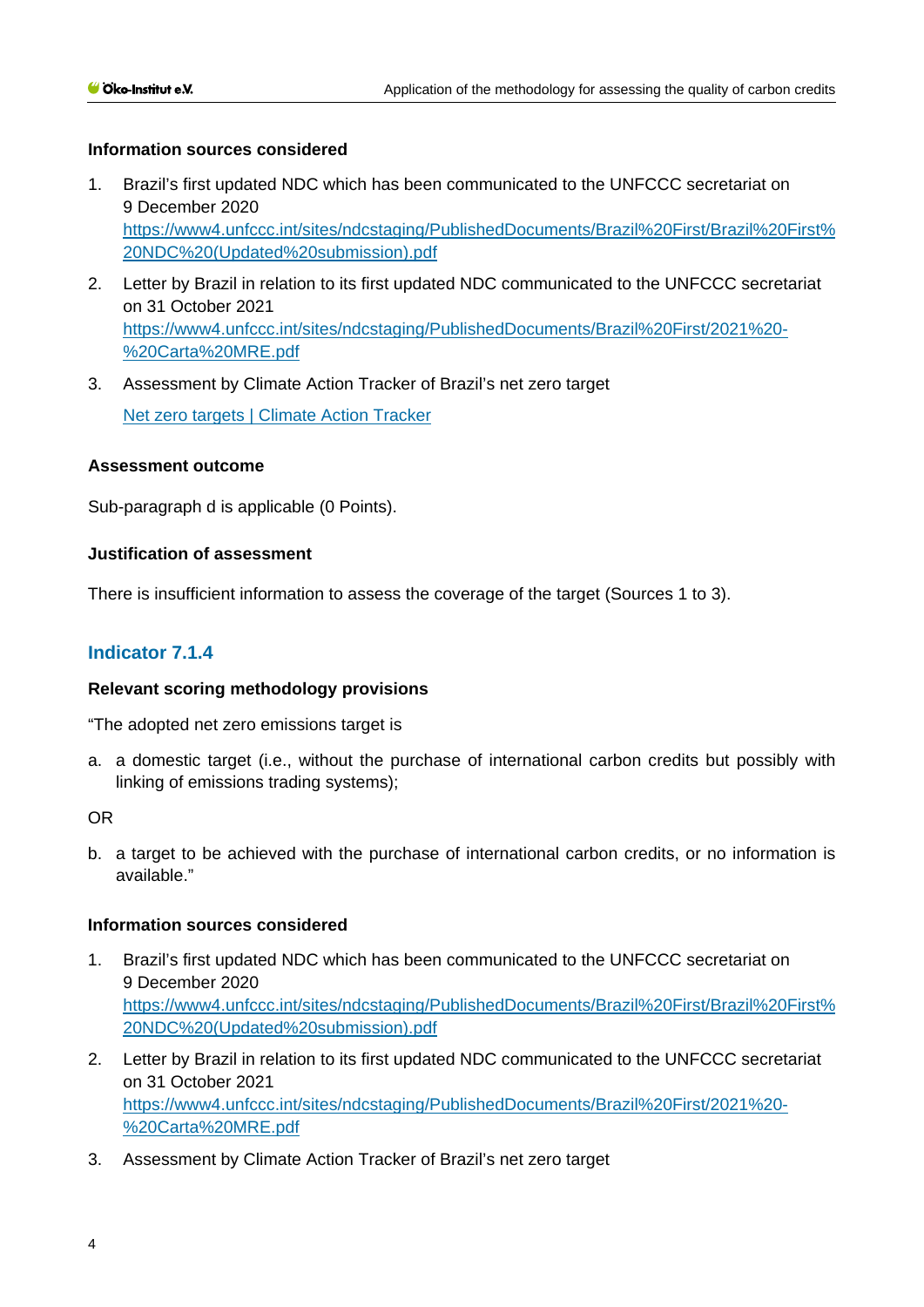#### **Information sources considered**

- 1. Brazil's first updated NDC which has been communicated to the UNFCCC secretariat on 9 December 2020 [https://www4.unfccc.int/sites/ndcstaging/PublishedDocuments/Brazil%20First/Brazil%20First%](https://www4.unfccc.int/sites/ndcstaging/PublishedDocuments/Brazil%20First/Brazil%20First%20NDC%20(Updated%20submission).pdf) [20NDC%20\(Updated%20submission\).pdf](https://www4.unfccc.int/sites/ndcstaging/PublishedDocuments/Brazil%20First/Brazil%20First%20NDC%20(Updated%20submission).pdf)
- 2. Letter by Brazil in relation to its first updated NDC communicated to the UNFCCC secretariat on 31 October 2021 [https://www4.unfccc.int/sites/ndcstaging/PublishedDocuments/Brazil%20First/2021%20-](https://www4.unfccc.int/sites/ndcstaging/PublishedDocuments/Brazil%20First/2021%20-%20Carta%20MRE.pdf) [%20Carta%20MRE.pdf](https://www4.unfccc.int/sites/ndcstaging/PublishedDocuments/Brazil%20First/2021%20-%20Carta%20MRE.pdf)
- 3. Assessment by Climate Action Tracker of Brazil's net zero target [Net zero targets | Climate Action Tracker](https://climateactiontracker.org/countries/brazil/net-zero-targets/)

#### **Assessment outcome**

Sub-paragraph d is applicable (0 Points).

#### **Justification of assessment**

There is insufficient information to assess the coverage of the target (Sources 1 to 3).

## **Indicator 7.1.4**

#### **Relevant scoring methodology provisions**

"The adopted net zero emissions target is

a. a domestic target (i.e., without the purchase of international carbon credits but possibly with linking of emissions trading systems);

OR

b. a target to be achieved with the purchase of international carbon credits, or no information is available."

#### **Information sources considered**

- 1. Brazil's first updated NDC which has been communicated to the UNFCCC secretariat on 9 December 2020 [https://www4.unfccc.int/sites/ndcstaging/PublishedDocuments/Brazil%20First/Brazil%20First%](https://www4.unfccc.int/sites/ndcstaging/PublishedDocuments/Brazil%20First/Brazil%20First%20NDC%20(Updated%20submission).pdf) [20NDC%20\(Updated%20submission\).pdf](https://www4.unfccc.int/sites/ndcstaging/PublishedDocuments/Brazil%20First/Brazil%20First%20NDC%20(Updated%20submission).pdf)
- 2. Letter by Brazil in relation to its first updated NDC communicated to the UNFCCC secretariat on 31 October 2021 [https://www4.unfccc.int/sites/ndcstaging/PublishedDocuments/Brazil%20First/2021%20-](https://www4.unfccc.int/sites/ndcstaging/PublishedDocuments/Brazil%20First/2021%20-%20Carta%20MRE.pdf) [%20Carta%20MRE.pdf](https://www4.unfccc.int/sites/ndcstaging/PublishedDocuments/Brazil%20First/2021%20-%20Carta%20MRE.pdf)
- 3. Assessment by Climate Action Tracker of Brazil's net zero target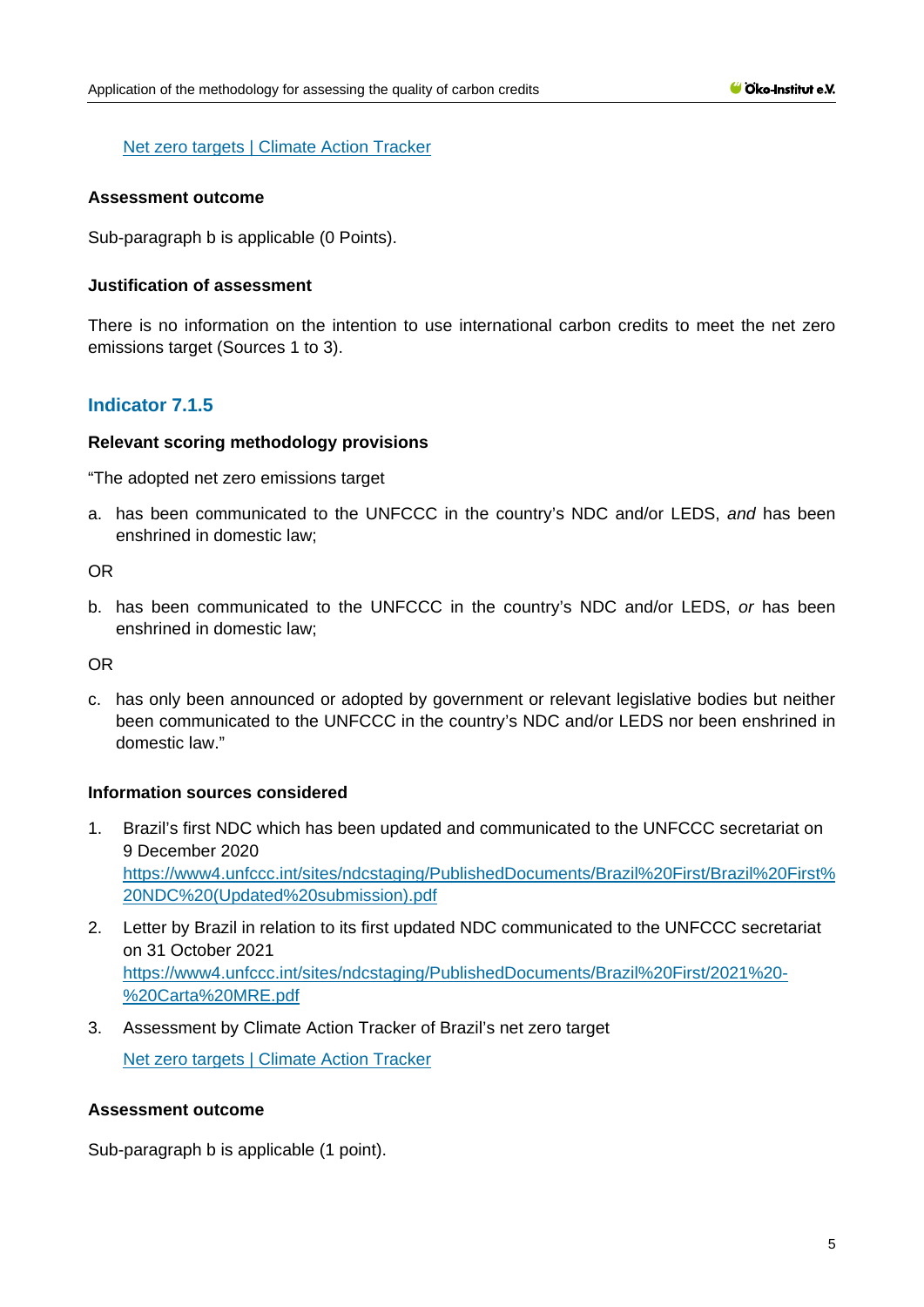#### [Net zero targets | Climate Action Tracker](https://climateactiontracker.org/countries/brazil/net-zero-targets/)

#### **Assessment outcome**

Sub-paragraph b is applicable (0 Points).

#### **Justification of assessment**

There is no information on the intention to use international carbon credits to meet the net zero emissions target (Sources 1 to 3).

## **Indicator 7.1.5**

#### **Relevant scoring methodology provisions**

"The adopted net zero emissions target

a. has been communicated to the UNFCCC in the country's NDC and/or LEDS, *and* has been enshrined in domestic law;

OR

b. has been communicated to the UNFCCC in the country's NDC and/or LEDS, *or* has been enshrined in domestic law;

OR

c. has only been announced or adopted by government or relevant legislative bodies but neither been communicated to the UNFCCC in the country's NDC and/or LEDS nor been enshrined in domestic law."

#### **Information sources considered**

- 1. Brazil's first NDC which has been updated and communicated to the UNFCCC secretariat on 9 December 2020 [https://www4.unfccc.int/sites/ndcstaging/PublishedDocuments/Brazil%20First/Brazil%20First%](https://www4.unfccc.int/sites/ndcstaging/PublishedDocuments/Brazil%20First/Brazil%20First%20NDC%20(Updated%20submission).pdf) [20NDC%20\(Updated%20submission\).pdf](https://www4.unfccc.int/sites/ndcstaging/PublishedDocuments/Brazil%20First/Brazil%20First%20NDC%20(Updated%20submission).pdf)
- 2. Letter by Brazil in relation to its first updated NDC communicated to the UNFCCC secretariat on 31 October 2021 [https://www4.unfccc.int/sites/ndcstaging/PublishedDocuments/Brazil%20First/2021%20-](https://www4.unfccc.int/sites/ndcstaging/PublishedDocuments/Brazil%20First/2021%20-%20Carta%20MRE.pdf) [%20Carta%20MRE.pdf](https://www4.unfccc.int/sites/ndcstaging/PublishedDocuments/Brazil%20First/2021%20-%20Carta%20MRE.pdf)
- 3. Assessment by Climate Action Tracker of Brazil's net zero target [Net zero targets | Climate Action Tracker](https://climateactiontracker.org/countries/brazil/net-zero-targets/)

#### **Assessment outcome**

Sub-paragraph b is applicable (1 point).